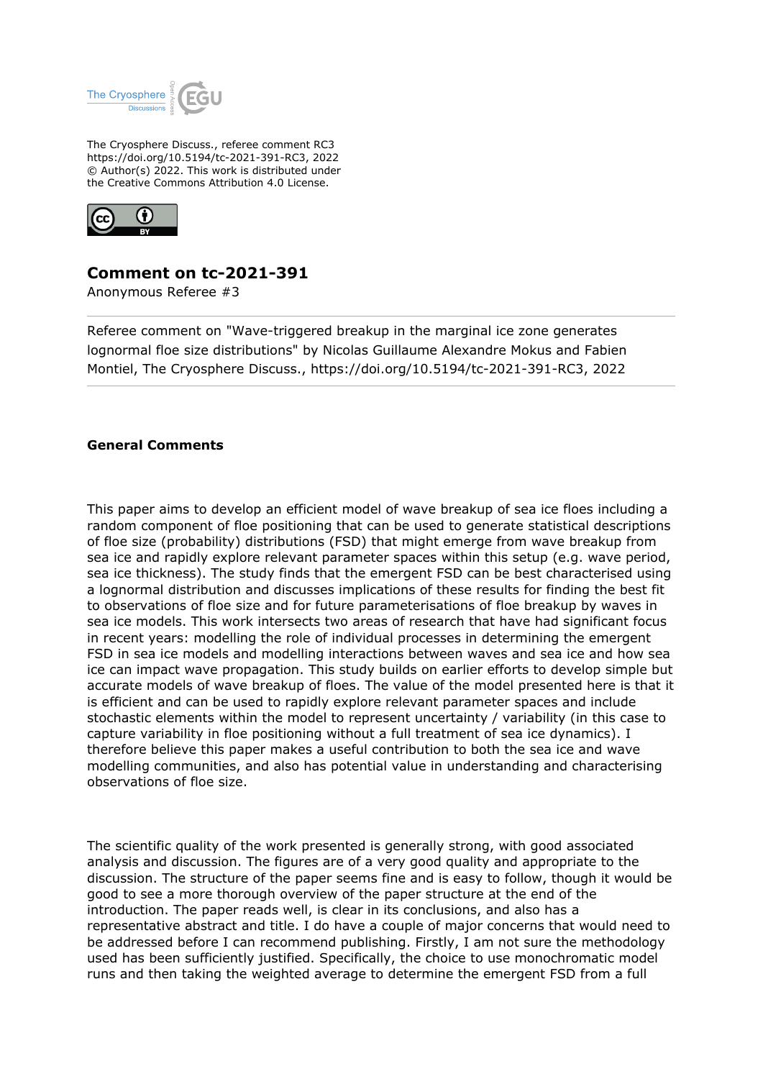

The Cryosphere Discuss., referee comment RC3 https://doi.org/10.5194/tc-2021-391-RC3, 2022 © Author(s) 2022. This work is distributed under the Creative Commons Attribution 4.0 License.



# **Comment on tc-2021-391**

Anonymous Referee #3

Referee comment on "Wave-triggered breakup in the marginal ice zone generates lognormal floe size distributions" by Nicolas Guillaume Alexandre Mokus and Fabien Montiel, The Cryosphere Discuss., https://doi.org/10.5194/tc-2021-391-RC3, 2022

#### **General Comments**

This paper aims to develop an efficient model of wave breakup of sea ice floes including a random component of floe positioning that can be used to generate statistical descriptions of floe size (probability) distributions (FSD) that might emerge from wave breakup from sea ice and rapidly explore relevant parameter spaces within this setup (e.g. wave period, sea ice thickness). The study finds that the emergent FSD can be best characterised using a lognormal distribution and discusses implications of these results for finding the best fit to observations of floe size and for future parameterisations of floe breakup by waves in sea ice models. This work intersects two areas of research that have had significant focus in recent years: modelling the role of individual processes in determining the emergent FSD in sea ice models and modelling interactions between waves and sea ice and how sea ice can impact wave propagation. This study builds on earlier efforts to develop simple but accurate models of wave breakup of floes. The value of the model presented here is that it is efficient and can be used to rapidly explore relevant parameter spaces and include stochastic elements within the model to represent uncertainty / variability (in this case to capture variability in floe positioning without a full treatment of sea ice dynamics). I therefore believe this paper makes a useful contribution to both the sea ice and wave modelling communities, and also has potential value in understanding and characterising observations of floe size.

The scientific quality of the work presented is generally strong, with good associated analysis and discussion. The figures are of a very good quality and appropriate to the discussion. The structure of the paper seems fine and is easy to follow, though it would be good to see a more thorough overview of the paper structure at the end of the introduction. The paper reads well, is clear in its conclusions, and also has a representative abstract and title. I do have a couple of major concerns that would need to be addressed before I can recommend publishing. Firstly, I am not sure the methodology used has been sufficiently justified. Specifically, the choice to use monochromatic model runs and then taking the weighted average to determine the emergent FSD from a full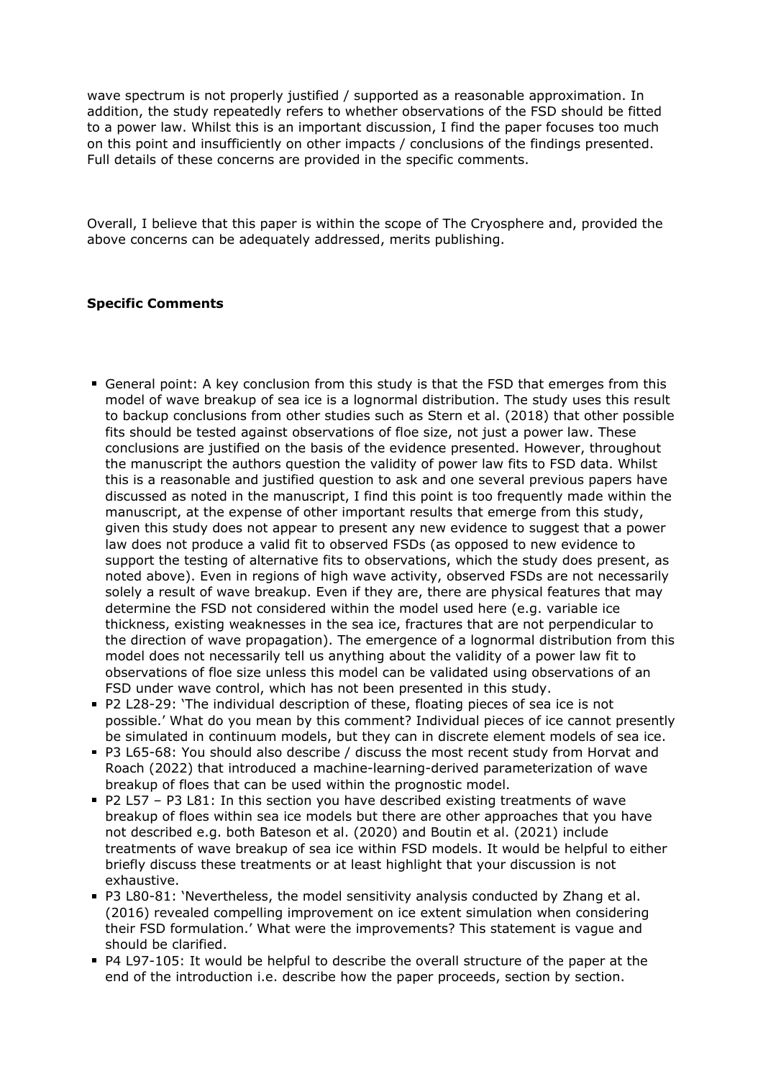wave spectrum is not properly justified / supported as a reasonable approximation. In addition, the study repeatedly refers to whether observations of the FSD should be fitted to a power law. Whilst this is an important discussion, I find the paper focuses too much on this point and insufficiently on other impacts / conclusions of the findings presented. Full details of these concerns are provided in the specific comments.

Overall, I believe that this paper is within the scope of The Cryosphere and, provided the above concerns can be adequately addressed, merits publishing.

#### **Specific Comments**

- General point: A key conclusion from this study is that the FSD that emerges from this model of wave breakup of sea ice is a lognormal distribution. The study uses this result to backup conclusions from other studies such as Stern et al. (2018) that other possible fits should be tested against observations of floe size, not just a power law. These conclusions are justified on the basis of the evidence presented. However, throughout the manuscript the authors question the validity of power law fits to FSD data. Whilst this is a reasonable and justified question to ask and one several previous papers have discussed as noted in the manuscript, I find this point is too frequently made within the manuscript, at the expense of other important results that emerge from this study, given this study does not appear to present any new evidence to suggest that a power law does not produce a valid fit to observed FSDs (as opposed to new evidence to support the testing of alternative fits to observations, which the study does present, as noted above). Even in regions of high wave activity, observed FSDs are not necessarily solely a result of wave breakup. Even if they are, there are physical features that may determine the FSD not considered within the model used here (e.g. variable ice thickness, existing weaknesses in the sea ice, fractures that are not perpendicular to the direction of wave propagation). The emergence of a lognormal distribution from this model does not necessarily tell us anything about the validity of a power law fit to observations of floe size unless this model can be validated using observations of an FSD under wave control, which has not been presented in this study.
- P2 L28-29: 'The individual description of these, floating pieces of sea ice is not possible.' What do you mean by this comment? Individual pieces of ice cannot presently be simulated in continuum models, but they can in discrete element models of sea ice.
- P3 L65-68: You should also describe / discuss the most recent study from Horvat and Roach (2022) that introduced a machine-learning-derived parameterization of wave breakup of floes that can be used within the prognostic model.
- P2 L57 P3 L81: In this section you have described existing treatments of wave breakup of floes within sea ice models but there are other approaches that you have not described e.g. both Bateson et al. (2020) and Boutin et al. (2021) include treatments of wave breakup of sea ice within FSD models. It would be helpful to either briefly discuss these treatments or at least highlight that your discussion is not exhaustive.
- P3 L80-81: 'Nevertheless, the model sensitivity analysis conducted by Zhang et al. (2016) revealed compelling improvement on ice extent simulation when considering their FSD formulation.' What were the improvements? This statement is vague and should be clarified.
- P4 L97-105: It would be helpful to describe the overall structure of the paper at the end of the introduction i.e. describe how the paper proceeds, section by section.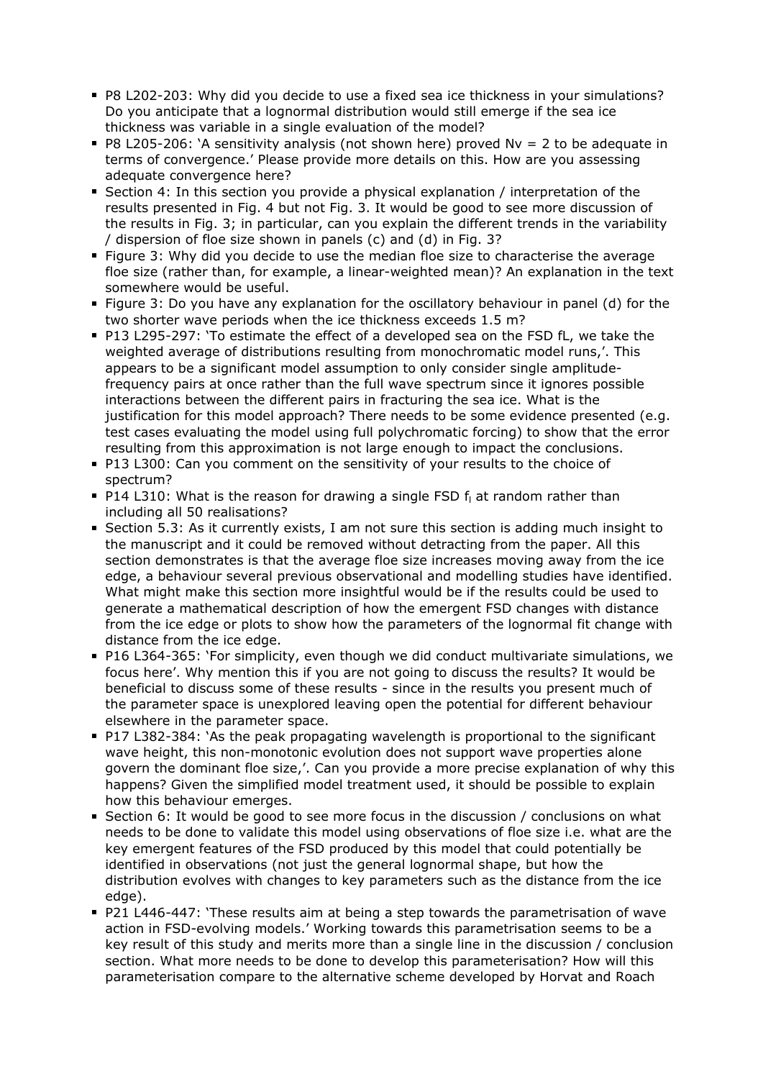- P8 L202-203: Why did you decide to use a fixed sea ice thickness in your simulations? Do you anticipate that a lognormal distribution would still emerge if the sea ice thickness was variable in a single evaluation of the model?
- $P8$  L205-206: 'A sensitivity analysis (not shown here) proved Nv = 2 to be adequate in terms of convergence.' Please provide more details on this. How are you assessing adequate convergence here?
- Section 4: In this section you provide a physical explanation / interpretation of the results presented in Fig. 4 but not Fig. 3. It would be good to see more discussion of the results in Fig. 3; in particular, can you explain the different trends in the variability / dispersion of floe size shown in panels (c) and (d) in Fig. 3?
- Figure 3: Why did you decide to use the median floe size to characterise the average floe size (rather than, for example, a linear-weighted mean)? An explanation in the text somewhere would be useful.
- Figure 3: Do you have any explanation for the oscillatory behaviour in panel (d) for the two shorter wave periods when the ice thickness exceeds 1.5 m?
- P13 L295-297: 'To estimate the effect of a developed sea on the FSD fL, we take the weighted average of distributions resulting from monochromatic model runs,'. This appears to be a significant model assumption to only consider single amplitudefrequency pairs at once rather than the full wave spectrum since it ignores possible interactions between the different pairs in fracturing the sea ice. What is the justification for this model approach? There needs to be some evidence presented (e.g. test cases evaluating the model using full polychromatic forcing) to show that the error resulting from this approximation is not large enough to impact the conclusions.
- P13 L300: Can you comment on the sensitivity of your results to the choice of spectrum?
- P14 L310: What is the reason for drawing a single FSD f<sub>l</sub> at random rather than including all 50 realisations?
- Section 5.3: As it currently exists, I am not sure this section is adding much insight to the manuscript and it could be removed without detracting from the paper. All this section demonstrates is that the average floe size increases moving away from the ice edge, a behaviour several previous observational and modelling studies have identified. What might make this section more insightful would be if the results could be used to generate a mathematical description of how the emergent FSD changes with distance from the ice edge or plots to show how the parameters of the lognormal fit change with distance from the ice edge.
- P16 L364-365: 'For simplicity, even though we did conduct multivariate simulations, we focus here'. Why mention this if you are not going to discuss the results? It would be beneficial to discuss some of these results - since in the results you present much of the parameter space is unexplored leaving open the potential for different behaviour elsewhere in the parameter space.
- P17 L382-384: 'As the peak propagating wavelength is proportional to the significant wave height, this non-monotonic evolution does not support wave properties alone govern the dominant floe size,'. Can you provide a more precise explanation of why this happens? Given the simplified model treatment used, it should be possible to explain how this behaviour emerges.
- Section 6: It would be good to see more focus in the discussion / conclusions on what needs to be done to validate this model using observations of floe size i.e. what are the key emergent features of the FSD produced by this model that could potentially be identified in observations (not just the general lognormal shape, but how the distribution evolves with changes to key parameters such as the distance from the ice edge).
- P21 L446-447: 'These results aim at being a step towards the parametrisation of wave action in FSD-evolving models.' Working towards this parametrisation seems to be a key result of this study and merits more than a single line in the discussion / conclusion section. What more needs to be done to develop this parameterisation? How will this parameterisation compare to the alternative scheme developed by Horvat and Roach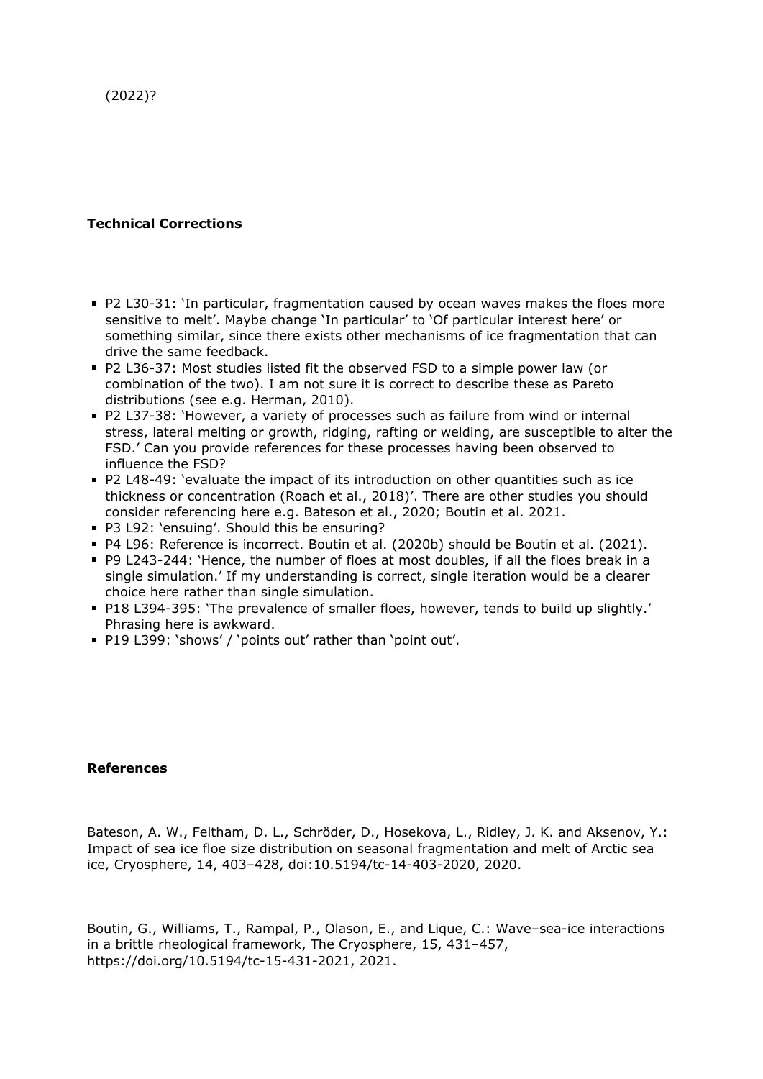(2022)?

## **Technical Corrections**

- P2 L30-31: 'In particular, fragmentation caused by ocean waves makes the floes more sensitive to melt'. Maybe change 'In particular' to 'Of particular interest here' or something similar, since there exists other mechanisms of ice fragmentation that can drive the same feedback.
- P2 L36-37: Most studies listed fit the observed FSD to a simple power law (or combination of the two). I am not sure it is correct to describe these as Pareto distributions (see e.g. Herman, 2010).
- P2 L37-38: 'However, a variety of processes such as failure from wind or internal stress, lateral melting or growth, ridging, rafting or welding, are susceptible to alter the FSD.' Can you provide references for these processes having been observed to influence the FSD?
- P2 L48-49: 'evaluate the impact of its introduction on other quantities such as ice thickness or concentration (Roach et al., 2018)'. There are other studies you should consider referencing here e.g. Bateson et al., 2020; Boutin et al. 2021.
- P3 L92: 'ensuing'. Should this be ensuring?
- P4 L96: Reference is incorrect. Boutin et al. (2020b) should be Boutin et al. (2021).
- P9 L243-244: 'Hence, the number of floes at most doubles, if all the floes break in a single simulation.' If my understanding is correct, single iteration would be a clearer choice here rather than single simulation.
- P18 L394-395: 'The prevalence of smaller floes, however, tends to build up slightly.' Phrasing here is awkward.
- P19 L399: 'shows' / 'points out' rather than 'point out'.

### **References**

Bateson, A. W., Feltham, D. L., Schröder, D., Hosekova, L., Ridley, J. K. and Aksenov, Y.: Impact of sea ice floe size distribution on seasonal fragmentation and melt of Arctic sea ice, Cryosphere, 14, 403–428, doi:10.5194/tc-14-403-2020, 2020.

Boutin, G., Williams, T., Rampal, P., Olason, E., and Lique, C.: Wave–sea-ice interactions in a brittle rheological framework, The Cryosphere, 15, 431–457, https://doi.org/10.5194/tc-15-431-2021, 2021.